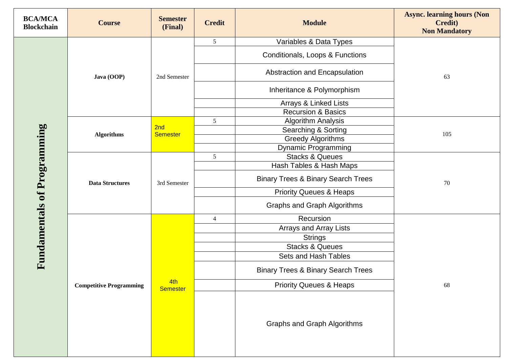| <b>BCA/MCA</b><br><b>Blockchain</b> | <b>Course</b>                  | <b>Semester</b><br>(Final) | <b>Credit</b>   | <b>Module</b>                                 | <b>Async. learning hours (Non</b><br><b>Credit</b> )<br><b>Non Mandatory</b> |
|-------------------------------------|--------------------------------|----------------------------|-----------------|-----------------------------------------------|------------------------------------------------------------------------------|
|                                     | Java (OOP)                     | 2nd Semester               | $5\overline{)}$ | Variables & Data Types                        | 63                                                                           |
|                                     |                                |                            |                 | Conditionals, Loops & Functions               |                                                                              |
|                                     |                                |                            |                 | Abstraction and Encapsulation                 |                                                                              |
|                                     |                                |                            |                 | Inheritance & Polymorphism                    |                                                                              |
|                                     |                                |                            |                 | Arrays & Linked Lists                         |                                                                              |
|                                     |                                |                            |                 | <b>Recursion &amp; Basics</b>                 |                                                                              |
|                                     | <b>Algorithms</b>              | 2nd<br><b>Semester</b>     | 5               | <b>Algorithm Analysis</b>                     | 105                                                                          |
|                                     |                                |                            |                 | Searching & Sorting                           |                                                                              |
| <b>Fundamentals of Programming</b>  |                                |                            |                 | <b>Greedy Algorithms</b>                      |                                                                              |
|                                     |                                |                            |                 | <b>Dynamic Programming</b>                    |                                                                              |
|                                     | <b>Data Structures</b>         | 3rd Semester               | 5               | <b>Stacks &amp; Queues</b>                    | 70                                                                           |
|                                     |                                |                            |                 | Hash Tables & Hash Maps                       |                                                                              |
|                                     |                                |                            |                 | <b>Binary Trees &amp; Binary Search Trees</b> |                                                                              |
|                                     |                                |                            |                 | <b>Priority Queues &amp; Heaps</b>            |                                                                              |
|                                     |                                |                            |                 | <b>Graphs and Graph Algorithms</b>            |                                                                              |
|                                     | <b>Competitive Programming</b> |                            | $\overline{4}$  | Recursion                                     | 68                                                                           |
|                                     |                                | 4th<br><b>Semester</b>     |                 | <b>Arrays and Array Lists</b>                 |                                                                              |
|                                     |                                |                            |                 | <b>Strings</b>                                |                                                                              |
|                                     |                                |                            |                 | <b>Stacks &amp; Queues</b>                    |                                                                              |
|                                     |                                |                            |                 | Sets and Hash Tables                          |                                                                              |
|                                     |                                |                            |                 | <b>Binary Trees &amp; Binary Search Trees</b> |                                                                              |
|                                     |                                |                            |                 | <b>Priority Queues &amp; Heaps</b>            |                                                                              |
|                                     |                                |                            |                 | <b>Graphs and Graph Algorithms</b>            |                                                                              |